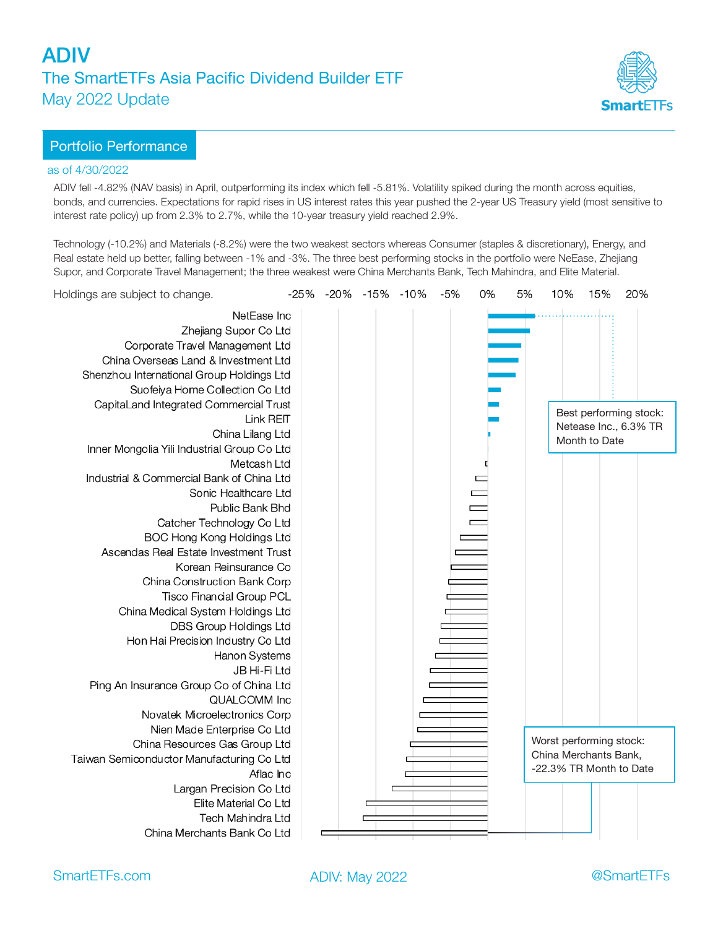

### Portfolio Performance

### as of 4/30/2022

ADIV fell -4.82% (NAV basis) in April, outperforming its index which fell -5.81%. Volatility spiked during the month across equities, bonds, and currencies. Expectations for rapid rises in US interest rates this year pushed the 2-year US Treasury yield (most sensitive to interest rate policy) up from 2.3% to 2.7%, while the 10-year treasury yield reached 2.9%.

Technology (-10.2%) and Materials (-8.2%) were the two weakest sectors whereas Consumer (staples & discretionary), Energy, and Real estate held up better, falling between -1% and -3%. The three best performing stocks in the portfolio were NeEase, Zhejiang Supor, and Corporate Travel Management; the three weakest were China Merchants Bank, Tech Mahindra, and Elite Material.

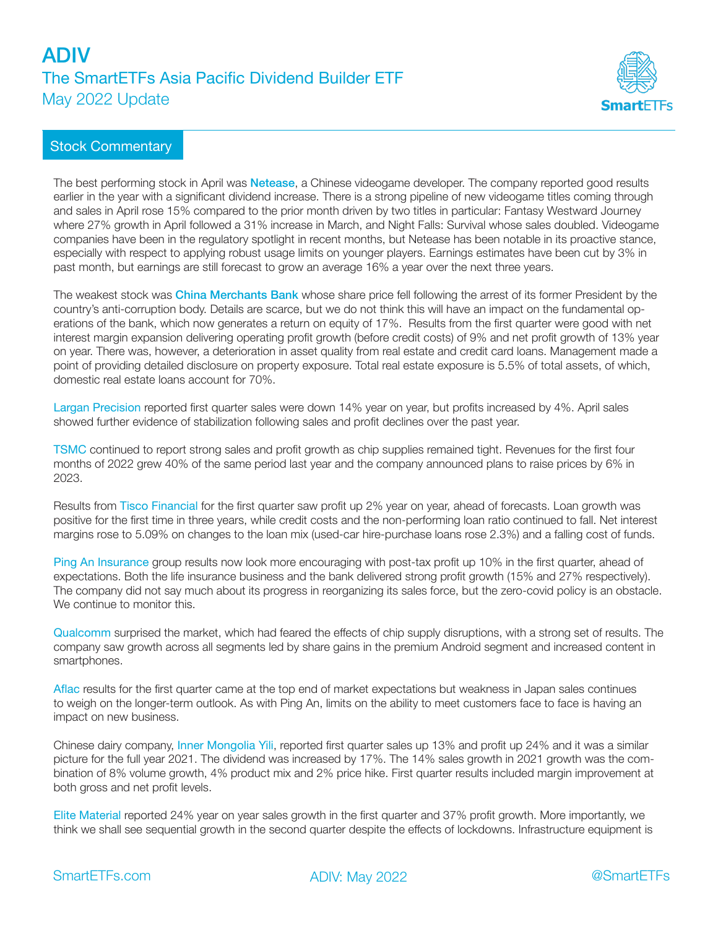# ADIV The SmartETFs Asia Pacific Dividend Builder ETF May 2022 Update



## Stock Commentary

The best performing stock in April was **Netease**, a Chinese videogame developer. The company reported good results earlier in the year with a significant dividend increase. There is a strong pipeline of new videogame titles coming through and sales in April rose 15% compared to the prior month driven by two titles in particular: Fantasy Westward Journey where 27% growth in April followed a 31% increase in March, and Night Falls: Survival whose sales doubled. Videogame companies have been in the regulatory spotlight in recent months, but Netease has been notable in its proactive stance, especially with respect to applying robust usage limits on younger players. Earnings estimates have been cut by 3% in past month, but earnings are still forecast to grow an average 16% a year over the next three years.

The weakest stock was **China Merchants Bank** whose share price fell following the arrest of its former President by the country's anti-corruption body. Details are scarce, but we do not think this will have an impact on the fundamental operations of the bank, which now generates a return on equity of 17%. Results from the first quarter were good with net interest margin expansion delivering operating profit growth (before credit costs) of 9% and net profit growth of 13% year on year. There was, however, a deterioration in asset quality from real estate and credit card loans. Management made a point of providing detailed disclosure on property exposure. Total real estate exposure is 5.5% of total assets, of which, domestic real estate loans account for 70%.

Largan Precision reported first quarter sales were down 14% year on year, but profits increased by 4%. April sales showed further evidence of stabilization following sales and profit declines over the past year.

TSMC continued to report strong sales and profit growth as chip supplies remained tight. Revenues for the first four months of 2022 grew 40% of the same period last year and the company announced plans to raise prices by 6% in 2023.

Results from Tisco Financial for the first quarter saw profit up 2% year on year, ahead of forecasts. Loan growth was positive for the first time in three years, while credit costs and the non-performing loan ratio continued to fall. Net interest margins rose to 5.09% on changes to the loan mix (used-car hire-purchase loans rose 2.3%) and a falling cost of funds.

Ping An Insurance group results now look more encouraging with post-tax profit up 10% in the first quarter, ahead of expectations. Both the life insurance business and the bank delivered strong profit growth (15% and 27% respectively). The company did not say much about its progress in reorganizing its sales force, but the zero-covid policy is an obstacle. We continue to monitor this.

Qualcomm surprised the market, which had feared the effects of chip supply disruptions, with a strong set of results. The company saw growth across all segments led by share gains in the premium Android segment and increased content in smartphones.

Aflac results for the first quarter came at the top end of market expectations but weakness in Japan sales continues to weigh on the longer-term outlook. As with Ping An, limits on the ability to meet customers face to face is having an impact on new business.

Chinese dairy company, Inner Mongolia Yili, reported first quarter sales up 13% and profit up 24% and it was a similar picture for the full year 2021. The dividend was increased by 17%. The 14% sales growth in 2021 growth was the combination of 8% volume growth, 4% product mix and 2% price hike. First quarter results included margin improvement at both gross and net profit levels.

Elite Material reported 24% year on year sales growth in the first quarter and 37% profit growth. More importantly, we think we shall see sequential growth in the second quarter despite the effects of lockdowns. Infrastructure equipment is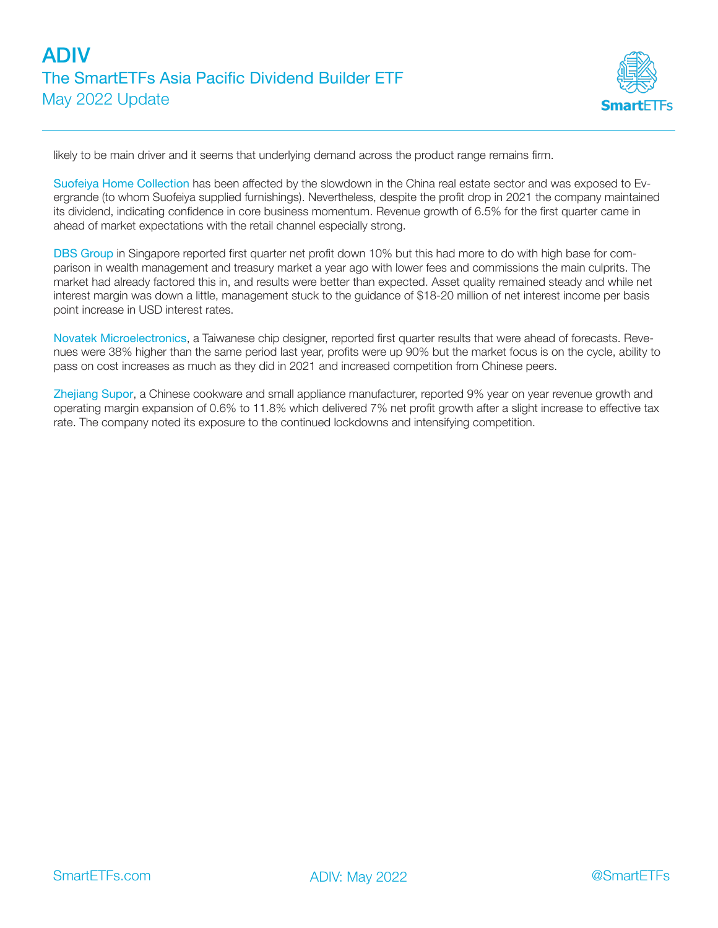

likely to be main driver and it seems that underlying demand across the product range remains firm.

Suofeiya Home Collection has been affected by the slowdown in the China real estate sector and was exposed to Evergrande (to whom Suofeiya supplied furnishings). Nevertheless, despite the profit drop in 2021 the company maintained its dividend, indicating confidence in core business momentum. Revenue growth of 6.5% for the first quarter came in ahead of market expectations with the retail channel especially strong.

DBS Group in Singapore reported first quarter net profit down 10% but this had more to do with high base for comparison in wealth management and treasury market a year ago with lower fees and commissions the main culprits. The market had already factored this in, and results were better than expected. Asset quality remained steady and while net interest margin was down a little, management stuck to the guidance of \$18-20 million of net interest income per basis point increase in USD interest rates.

Novatek Microelectronics, a Taiwanese chip designer, reported first quarter results that were ahead of forecasts. Revenues were 38% higher than the same period last year, profits were up 90% but the market focus is on the cycle, ability to pass on cost increases as much as they did in 2021 and increased competition from Chinese peers.

Zhejiang Supor, a Chinese cookware and small appliance manufacturer, reported 9% year on year revenue growth and operating margin expansion of 0.6% to 11.8% which delivered 7% net profit growth after a slight increase to effective tax rate. The company noted its exposure to the continued lockdowns and intensifying competition.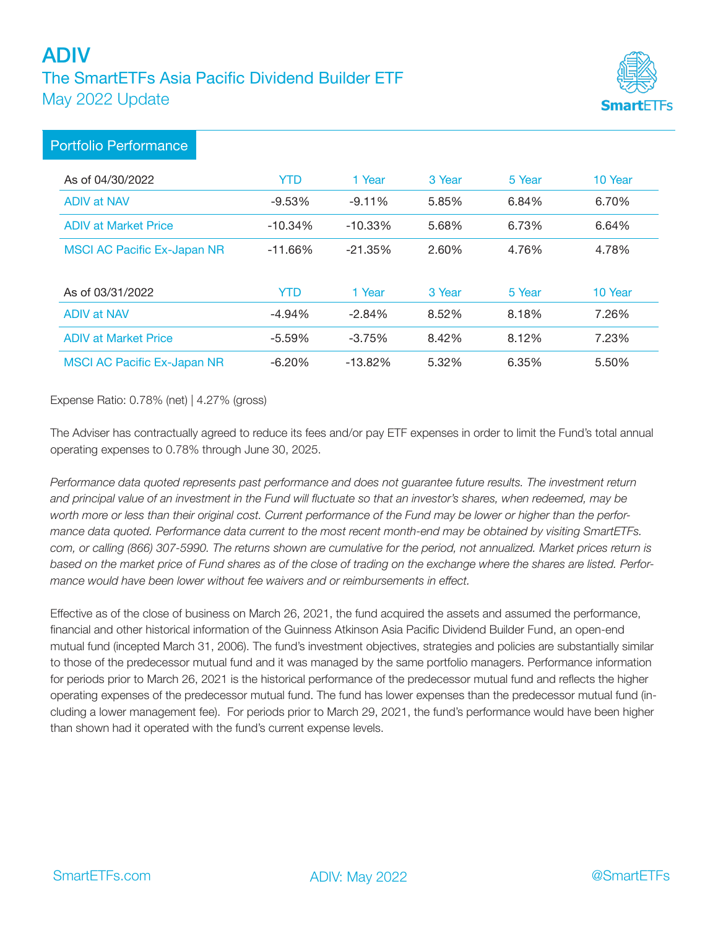# ADIV The SmartETFs Asia Pacific Dividend Builder ETF May 2022 Update



# Portfolio Performance

| As of 04/30/2022                   | YTD        | 1 Year    | 3 Year | 5 Year | 10 Year |
|------------------------------------|------------|-----------|--------|--------|---------|
| <b>ADIV at NAV</b>                 | $-9.53%$   | $-9.11%$  | 5.85%  | 6.84%  | 6.70%   |
| <b>ADIV at Market Price</b>        | $-10.34\%$ | $-10.33%$ | 5.68%  | 6.73%  | 6.64%   |
| <b>MSCI AC Pacific Ex-Japan NR</b> | $-11.66%$  | $-21.35%$ | 2.60%  | 4.76%  | 4.78%   |
|                                    |            |           |        |        |         |
| As of 03/31/2022                   | <b>YTD</b> | 1 Year    | 3 Year | 5 Year | 10 Year |
| <b>ADIV at NAV</b>                 | $-4.94%$   | $-2.84%$  | 8.52%  | 8.18%  | 7.26%   |
| <b>ADIV at Market Price</b>        | $-5.59%$   | $-3.75%$  | 8.42%  | 8.12%  | 7.23%   |
| <b>MSCI AC Pacific Ex-Japan NR</b> | $-6.20%$   | $-13.82%$ | 5.32%  | 6.35%  | 5.50%   |

Expense Ratio: 0.78% (net) | 4.27% (gross)

The Adviser has contractually agreed to reduce its fees and/or pay ETF expenses in order to limit the Fund's total annual operating expenses to 0.78% through June 30, 2025.

*Performance data quoted represents past performance and does not guarantee future results. The investment return and principal value of an investment in the Fund will fluctuate so that an investor's shares, when redeemed, may be worth more or less than their original cost. Current performance of the Fund may be lower or higher than the performance data quoted. Performance data current to the most recent month-end may be obtained by visiting SmartETFs. com, or calling (866) 307-5990. The returns shown are cumulative for the period, not annualized. Market prices return is based on the market price of Fund shares as of the close of trading on the exchange where the shares are listed. Performance would have been lower without fee waivers and or reimbursements in effect.* 

Effective as of the close of business on March 26, 2021, the fund acquired the assets and assumed the performance, financial and other historical information of the Guinness Atkinson Asia Pacific Dividend Builder Fund, an open-end mutual fund (incepted March 31, 2006). The fund's investment objectives, strategies and policies are substantially similar to those of the predecessor mutual fund and it was managed by the same portfolio managers. Performance information for periods prior to March 26, 2021 is the historical performance of the predecessor mutual fund and reflects the higher operating expenses of the predecessor mutual fund. The fund has lower expenses than the predecessor mutual fund (including a lower management fee). For periods prior to March 29, 2021, the fund's performance would have been higher than shown had it operated with the fund's current expense levels.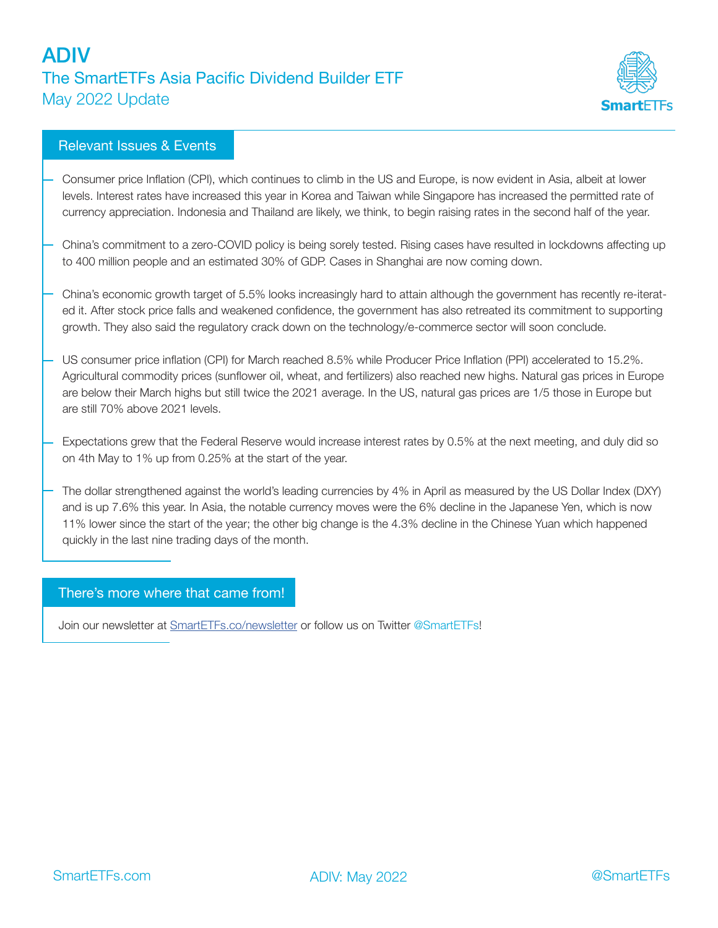# ADIV The SmartETFs Asia Pacific Dividend Builder ETF May 2022 Update



## Relevant Issues & Events

- Consumer price Inflation (CPI), which continues to climb in the US and Europe, is now evident in Asia, albeit at lower levels. Interest rates have increased this year in Korea and Taiwan while Singapore has increased the permitted rate of currency appreciation. Indonesia and Thailand are likely, we think, to begin raising rates in the second half of the year.
- China's commitment to a zero-COVID policy is being sorely tested. Rising cases have resulted in lockdowns affecting up to 400 million people and an estimated 30% of GDP. Cases in Shanghai are now coming down.
- China's economic growth target of 5.5% looks increasingly hard to attain although the government has recently re-iterated it. After stock price falls and weakened confidence, the government has also retreated its commitment to supporting growth. They also said the regulatory crack down on the technology/e-commerce sector will soon conclude.
- US consumer price inflation (CPI) for March reached 8.5% while Producer Price Inflation (PPI) accelerated to 15.2%. Agricultural commodity prices (sunflower oil, wheat, and fertilizers) also reached new highs. Natural gas prices in Europe are below their March highs but still twice the 2021 average. In the US, natural gas prices are 1/5 those in Europe but are still 70% above 2021 levels.
- Expectations grew that the Federal Reserve would increase interest rates by 0.5% at the next meeting, and duly did so on 4th May to 1% up from 0.25% at the start of the year.
- The dollar strengthened against the world's leading currencies by 4% in April as measured by the US Dollar Index (DXY) and is up 7.6% this year. In Asia, the notable currency moves were the 6% decline in the Japanese Yen, which is now 11% lower since the start of the year; the other big change is the 4.3% decline in the Chinese Yuan which happened quickly in the last nine trading days of the month.

### There's more where that came from!

Join our newsletter at SmartETFs.co/newsletter or follow us on Twitter @SmartETFs!